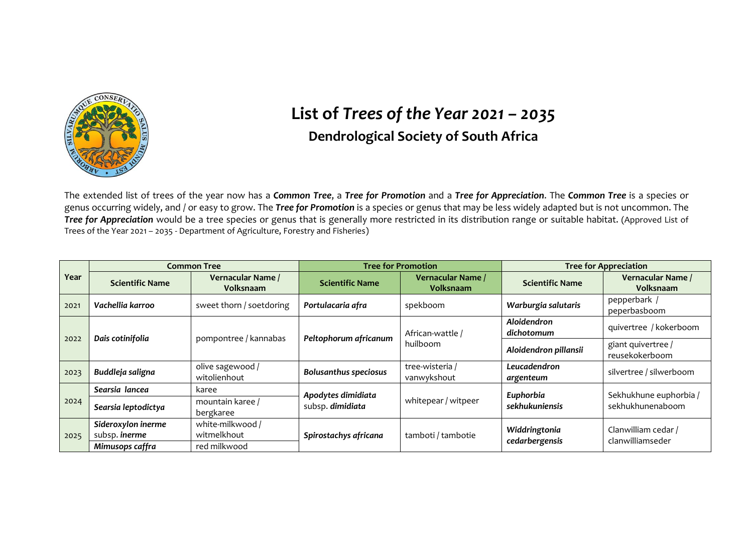

## **List of** *Trees of the Year 2021 – 2035* **Dendrological Society of South Africa**

The extended list of trees of the year now has a *Common Tree*, a *Tree for Promotion* and a *Tree for Appreciation*. The *Common Tree* is a species or genus occurring widely, and / or easy to grow. The *Tree for Promotion* is a species or genus that may be less widely adapted but is not uncommon. The *Tree for Appreciation* would be a tree species or genus that is generally more restricted in its distribution range or suitable habitat. (Approved List of Trees of the Year 2021 – 2035 - Department of Agriculture, Forestry and Fisheries)

| Year | <b>Common Tree</b>                  |                                       | <b>Tree for Promotion</b>              |                                       | <b>Tree for Appreciation</b>    |                                         |
|------|-------------------------------------|---------------------------------------|----------------------------------------|---------------------------------------|---------------------------------|-----------------------------------------|
|      | <b>Scientific Name</b>              | Vernacular Name /<br><b>Volksnaam</b> | <b>Scientific Name</b>                 | Vernacular Name /<br><b>Volksnaam</b> | <b>Scientific Name</b>          | Vernacular Name /<br><b>Volksnaam</b>   |
| 2021 | Vachellia karroo                    | sweet thorn / soetdoring              | Portulacaria afra                      | spekboom                              | Warburgia salutaris             | pepperbark /<br>peperbasboom            |
| 2022 | Dais cotinifolia                    | pompontree / kannabas                 | Peltophorum africanum                  | African-wattle /<br>huilboom          | Aloidendron<br>dichotomum       | quivertree / kokerboom                  |
|      |                                     |                                       |                                        |                                       | Aloidendron pillansii           | giant quivertree /<br>reusekokerboom    |
| 2023 | Buddleja saligna                    | olive sagewood /<br>witolienhout      | <b>Bolusanthus speciosus</b>           | tree-wisteria /<br>vanwykshout        | Leucadendron<br>argenteum       | silvertree / silwerboom                 |
| 2024 | Searsia lancea                      | karee                                 | Apodytes dimidiata<br>subsp. dimidiata | whitepear / witpeer                   | Euphorbia                       | Sekhukhune euphorbia /                  |
|      | Searsia leptodictya                 | mountain karee /<br>bergkaree         |                                        |                                       | sekhukuniensis                  | sekhukhunenaboom                        |
| 2025 | Sideroxylon inerme<br>subsp. inerme | white-milkwood /<br>witmelkhout       | Spirostachys africana                  | tamboti / tambotie                    | Widdringtonia<br>cedarbergensis | Clanwilliam cedar /<br>clanwilliamseder |
|      | Mimusops caffra                     | red milkwood                          |                                        |                                       |                                 |                                         |